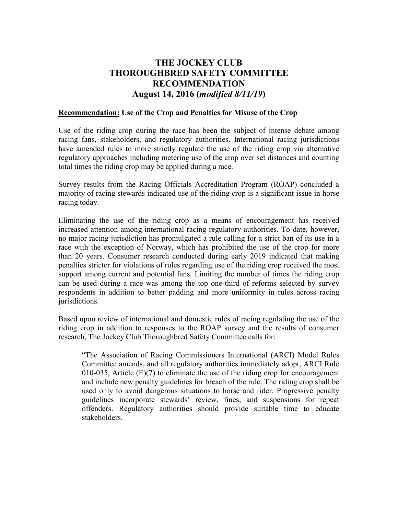## **THE JOCKEY CLUB THOROUGHBRED SAFETY COMMITTEE RECOMMENDATION August 14, 2016 (***modified 8/11/19***)**

## **Recommendation: Use of the Crop and Penalties for Misuse of the Crop**

Use of the riding crop during the race has been the subject of intense debate among racing fans, stakeholders, and regulatory authorities. International racing jurisdictions have amended rules to more strictly regulate the use of the riding crop via alternative regulatory approaches including metering use of the crop over set distances and counting total times the riding crop may be applied during a race.

Survey results from the Racing Officials Accreditation Program (ROAP) concluded a majority of racing stewards indicated use of the riding crop is a significant issue in horse racing today.

Eliminating the use of the riding crop as a means of encouragement has received increased attention among international racing regulatory authorities. To date, however, no major racing jurisdiction has promulgated a rule calling for a strict ban of its use in a race with the exception of Norway, which has prohibited the use of the crop for more than 20 years. Consumer research conducted during early 2019 indicated that making penalties stricter for violations of rules regarding use of the riding crop received the most support among current and potential fans. Limiting the number of times the riding crop can be used during a race was among the top one-third of reforms selected by survey respondents in addition to better padding and more uniformity in rules across racing jurisdictions.

Based upon review of international and domestic rules of racing regulating the use of the riding crop in addition to responses to the ROAP survey and the results of consumer research, The Jockey Club Thoroughbred Safety Committee calls for:

"The Association of Racing Commissioners International (ARCI) Model Rules Committee amends, and all regulatory authorities immediately adopt, ARCI Rule 010-035, Article  $(E)(7)$  to eliminate the use of the riding crop for encouragement and include new penalty guidelines for breach of the rule. The riding crop shall be used only to avoid dangerous situations to horse and rider. Progressive penalty guidelines incorporate stewards' review, fines, and suspensions for repeat offenders. Regulatory authorities should provide suitable time to educate stakeholders.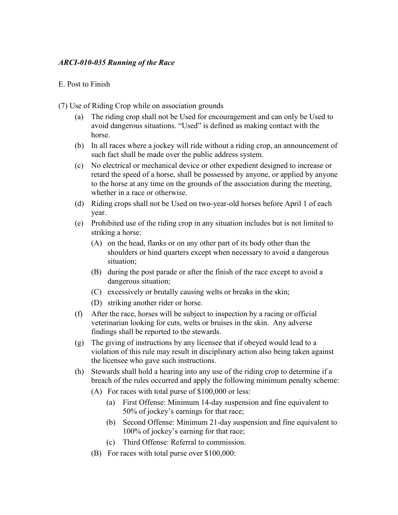## *ARCI-010-035 Running of the Race*

## E. Post to Finish

(7) Use of Riding Crop while on association grounds

- (a) The riding crop shall not be Used for encouragement and can only be Used to avoid dangerous situations. "Used" is defined as making contact with the horse.
- (b) In all races where a jockey will ride without a riding crop, an announcement of such fact shall be made over the public address system.
- (c) No electrical or mechanical device or other expedient designed to increase or retard the speed of a horse, shall be possessed by anyone, or applied by anyone to the horse at any time on the grounds of the association during the meeting, whether in a race or otherwise.
- (d) Riding crops shall not be Used on two-year-old horses before April 1 of each year.
- (e) Prohibited use of the riding crop in any situation includes but is not limited to striking a horse:
	- (A) on the head, flanks or on any other part of its body other than the shoulders or hind quarters except when necessary to avoid a dangerous situation;
	- (B) during the post parade or after the finish of the race except to avoid a dangerous situation;
	- (C) excessively or brutally causing welts or breaks in the skin;
	- (D) striking another rider or horse.
- (f) After the race, horses will be subject to inspection by a racing or official veterinarian looking for cuts, welts or bruises in the skin. Any adverse findings shall be reported to the stewards.
- (g) The giving of instructions by any licensee that if obeyed would lead to a violation of this rule may result in disciplinary action also being taken against the licensee who gave such instructions.
- (h) Stewards shall hold a hearing into any use of the riding crop to determine if a breach of the rules occurred and apply the following minimum penalty scheme:
	- (A) For races with total purse of \$100,000 or less:
		- (a) First Offense: Minimum 14-day suspension and fine equivalent to 50% of jockey's earnings for that race;
		- (b) Second Offense: Minimum 21-day suspension and fine equivalent to 100% of jockey's earning for that race;
		- (c) Third Offense: Referral to commission.
	- (B) For races with total purse over \$100,000: